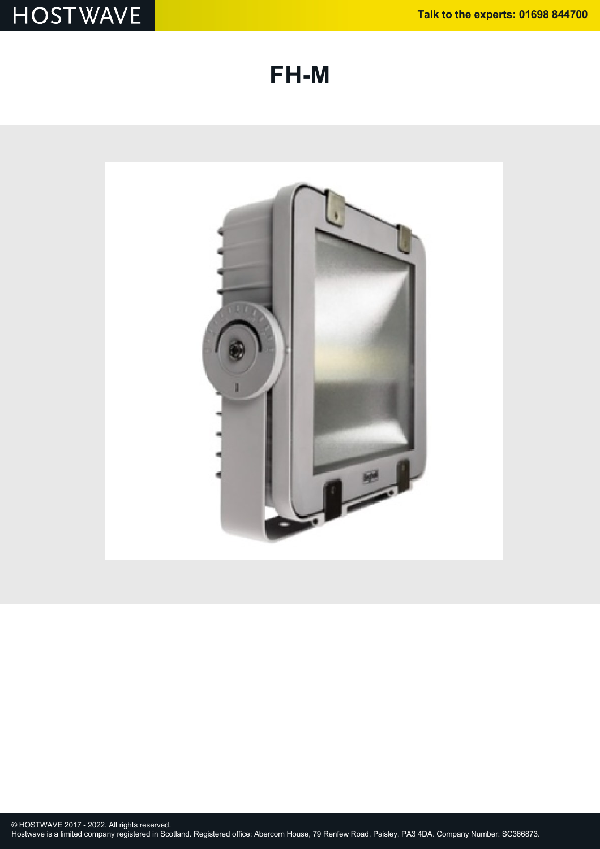**FH-M**

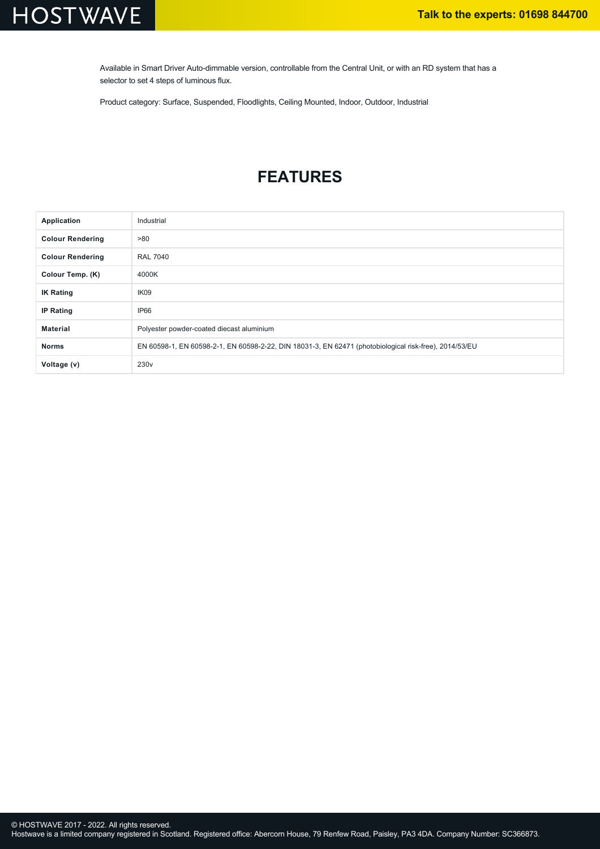# **HOSTWAVE**

Available in Smart Driver Auto-dimmable version, controllable from the Central Unit, or with an RD system that has a selector to set 4 steps of luminous flux.

Product category: Surface, Suspended, Floodlights, Ceiling Mounted, Indoor, Outdoor, Industrial

### **FEATURES**

| Application             | Industrial                                                                                             |
|-------------------------|--------------------------------------------------------------------------------------------------------|
| <b>Colour Rendering</b> | >80                                                                                                    |
| <b>Colour Rendering</b> | <b>RAL 7040</b>                                                                                        |
| Colour Temp. (K)        | 4000K                                                                                                  |
| <b>IK Rating</b>        | IK09                                                                                                   |
| <b>IP Rating</b>        | IP66                                                                                                   |
| <b>Material</b>         | Polyester powder-coated diecast aluminium                                                              |
| <b>Norms</b>            | EN 60598-1, EN 60598-2-1, EN 60598-2-22, DIN 18031-3, EN 62471 (photobiological risk-free), 2014/53/EU |
| Voltage (v)             | 230 <sub>v</sub>                                                                                       |

Hostwave is a limited company registered in Scotland. Registered office: Abercorn House, 79 Renfew Road, Paisley, PA3 4DA. Company Number: SC366873.